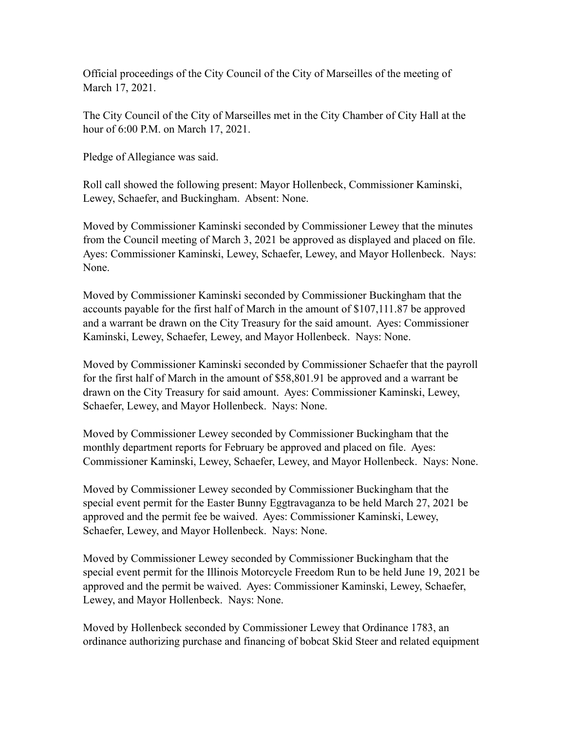Official proceedings of the City Council of the City of Marseilles of the meeting of March 17, 2021.

The City Council of the City of Marseilles met in the City Chamber of City Hall at the hour of 6:00 P.M. on March 17, 2021.

Pledge of Allegiance was said.

Roll call showed the following present: Mayor Hollenbeck, Commissioner Kaminski, Lewey, Schaefer, and Buckingham. Absent: None.

Moved by Commissioner Kaminski seconded by Commissioner Lewey that the minutes from the Council meeting of March 3, 2021 be approved as displayed and placed on file. Ayes: Commissioner Kaminski, Lewey, Schaefer, Lewey, and Mayor Hollenbeck. Nays: None.

Moved by Commissioner Kaminski seconded by Commissioner Buckingham that the accounts payable for the first half of March in the amount of \$107,111.87 be approved and a warrant be drawn on the City Treasury for the said amount. Ayes: Commissioner Kaminski, Lewey, Schaefer, Lewey, and Mayor Hollenbeck. Nays: None.

Moved by Commissioner Kaminski seconded by Commissioner Schaefer that the payroll for the first half of March in the amount of \$58,801.91 be approved and a warrant be drawn on the City Treasury for said amount. Ayes: Commissioner Kaminski, Lewey, Schaefer, Lewey, and Mayor Hollenbeck. Nays: None.

Moved by Commissioner Lewey seconded by Commissioner Buckingham that the monthly department reports for February be approved and placed on file. Ayes: Commissioner Kaminski, Lewey, Schaefer, Lewey, and Mayor Hollenbeck. Nays: None.

Moved by Commissioner Lewey seconded by Commissioner Buckingham that the special event permit for the Easter Bunny Eggtravaganza to be held March 27, 2021 be approved and the permit fee be waived. Ayes: Commissioner Kaminski, Lewey, Schaefer, Lewey, and Mayor Hollenbeck. Nays: None.

Moved by Commissioner Lewey seconded by Commissioner Buckingham that the special event permit for the Illinois Motorcycle Freedom Run to be held June 19, 2021 be approved and the permit be waived. Ayes: Commissioner Kaminski, Lewey, Schaefer, Lewey, and Mayor Hollenbeck. Nays: None.

Moved by Hollenbeck seconded by Commissioner Lewey that Ordinance 1783, an ordinance authorizing purchase and financing of bobcat Skid Steer and related equipment